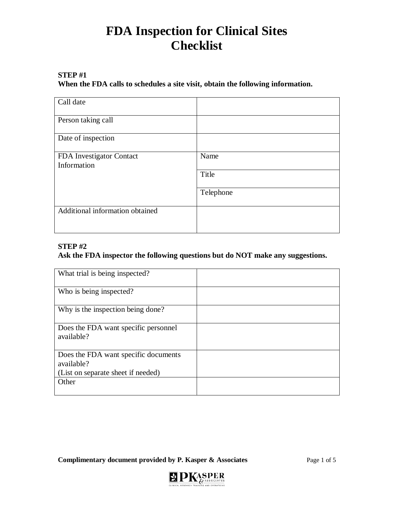### **STEP #1**

**When the FDA calls to schedules a site visit, obtain the following information.**

| Call date                               |           |
|-----------------------------------------|-----------|
| Person taking call                      |           |
| Date of inspection                      |           |
| FDA Investigator Contact<br>Information | Name      |
|                                         | Title     |
|                                         | Telephone |
| Additional information obtained         |           |
|                                         |           |

### **STEP #2**

#### **Ask the FDA inspector the following questions but do NOT make any suggestions.**

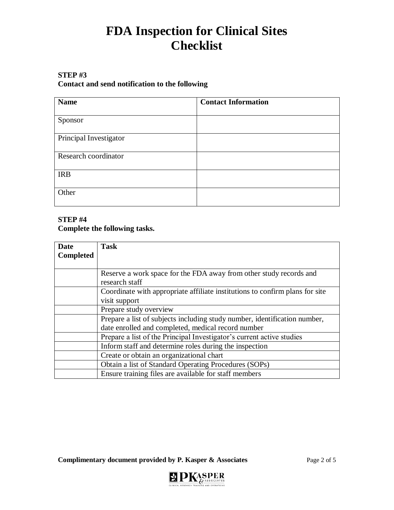### **STEP #3**

### **Contact and send notification to the following**

| <b>Name</b>            | <b>Contact Information</b> |
|------------------------|----------------------------|
|                        |                            |
| Sponsor                |                            |
| Principal Investigator |                            |
|                        |                            |
| Research coordinator   |                            |
|                        |                            |
| <b>IRB</b>             |                            |
|                        |                            |
| Other                  |                            |
|                        |                            |

#### **STEP #4 Complete the following tasks.**

| <b>Date</b><br><b>Completed</b> | <b>Task</b>                                                                                                                     |
|---------------------------------|---------------------------------------------------------------------------------------------------------------------------------|
|                                 | Reserve a work space for the FDA away from other study records and<br>research staff                                            |
|                                 | Coordinate with appropriate affiliate institutions to confirm plans for site<br>visit support                                   |
|                                 | Prepare study overview                                                                                                          |
|                                 | Prepare a list of subjects including study number, identification number,<br>date enrolled and completed, medical record number |
|                                 | Prepare a list of the Principal Investigator's current active studies                                                           |
|                                 | Inform staff and determine roles during the inspection                                                                          |
|                                 | Create or obtain an organizational chart                                                                                        |
|                                 | Obtain a list of Standard Operating Procedures (SOPs)                                                                           |
|                                 | Ensure training files are available for staff members                                                                           |

**Complimentary document provided by P. Kasper & Associates** Page 2 of 5

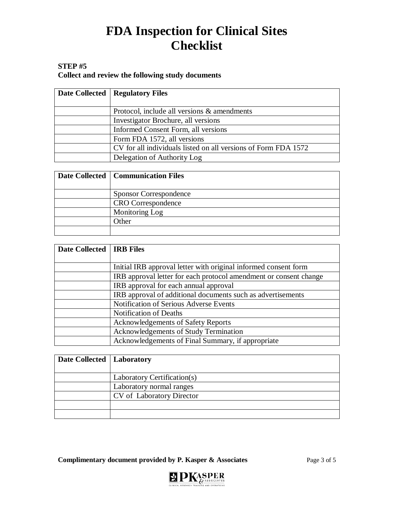### **STEP #5**

**Collect and review the following study documents**

| Date Collected   Regulatory Files                              |
|----------------------------------------------------------------|
| Protocol, include all versions & amendments                    |
| Investigator Brochure, all versions                            |
| Informed Consent Form, all versions                            |
| Form FDA 1572, all versions                                    |
| CV for all individuals listed on all versions of Form FDA 1572 |
| Delegation of Authority Log                                    |

| Date Collected   Communication Files |
|--------------------------------------|
|                                      |
| <b>Sponsor Correspondence</b>        |
| <b>CRO</b> Correspondence            |
| Monitoring Log                       |
| Other                                |
|                                      |

| Date Collected   IRB Files |                                                                   |
|----------------------------|-------------------------------------------------------------------|
|                            |                                                                   |
|                            | Initial IRB approval letter with original informed consent form   |
|                            | IRB approval letter for each protocol amendment or consent change |
|                            | IRB approval for each annual approval                             |
|                            | IRB approval of additional documents such as advertisements       |
|                            | Notification of Serious Adverse Events                            |
|                            | <b>Notification of Deaths</b>                                     |
|                            | <b>Acknowledgements of Safety Reports</b>                         |
|                            | Acknowledgements of Study Termination                             |
|                            | Acknowledgements of Final Summary, if appropriate                 |

| Date Collected   Laboratory |                             |
|-----------------------------|-----------------------------|
|                             | Laboratory Certification(s) |
|                             | Laboratory normal ranges    |
|                             | CV of Laboratory Director   |
|                             |                             |
|                             |                             |

**Complimentary document provided by P. Kasper & Associates** Page 3 of 5

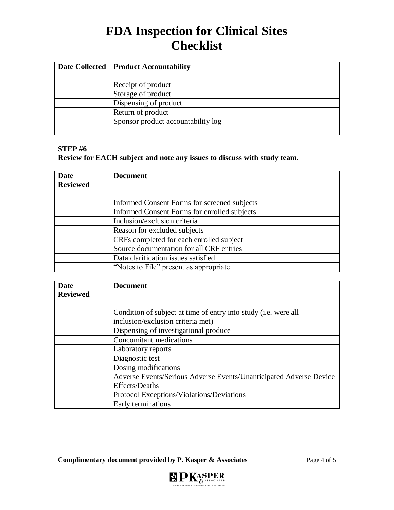| Date Collected   Product Accountability |
|-----------------------------------------|
|                                         |
| Receipt of product                      |
| Storage of product                      |
| Dispensing of product                   |
| Return of product                       |
| Sponsor product accountability log      |
|                                         |

#### **STEP #6**

**Review for EACH subject and note any issues to discuss with study team.**

| <b>Date</b>     | <b>Document</b>                              |
|-----------------|----------------------------------------------|
| <b>Reviewed</b> |                                              |
|                 |                                              |
|                 | Informed Consent Forms for screened subjects |
|                 | Informed Consent Forms for enrolled subjects |
|                 | Inclusion/exclusion criteria                 |
|                 | Reason for excluded subjects                 |
|                 | CRFs completed for each enrolled subject     |
|                 | Source documentation for all CRF entries     |
|                 | Data clarification issues satisfied          |
|                 | "Notes to File" present as appropriate       |

| Date            | <b>Document</b>                                                         |
|-----------------|-------------------------------------------------------------------------|
| <b>Reviewed</b> |                                                                         |
|                 |                                                                         |
|                 | Condition of subject at time of entry into study ( <i>i.e.</i> were all |
|                 | inclusion/exclusion criteria met)                                       |
|                 | Dispensing of investigational produce                                   |
|                 | Concomitant medications                                                 |
|                 | Laboratory reports                                                      |
|                 | Diagnostic test                                                         |
|                 | Dosing modifications                                                    |
|                 | Adverse Events/Serious Adverse Events/Unanticipated Adverse Device      |
|                 | Effects/Deaths                                                          |
|                 | Protocol Exceptions/Violations/Deviations                               |
|                 | Early terminations                                                      |

**Complimentary document provided by P. Kasper & Associates** Page 4 of 5